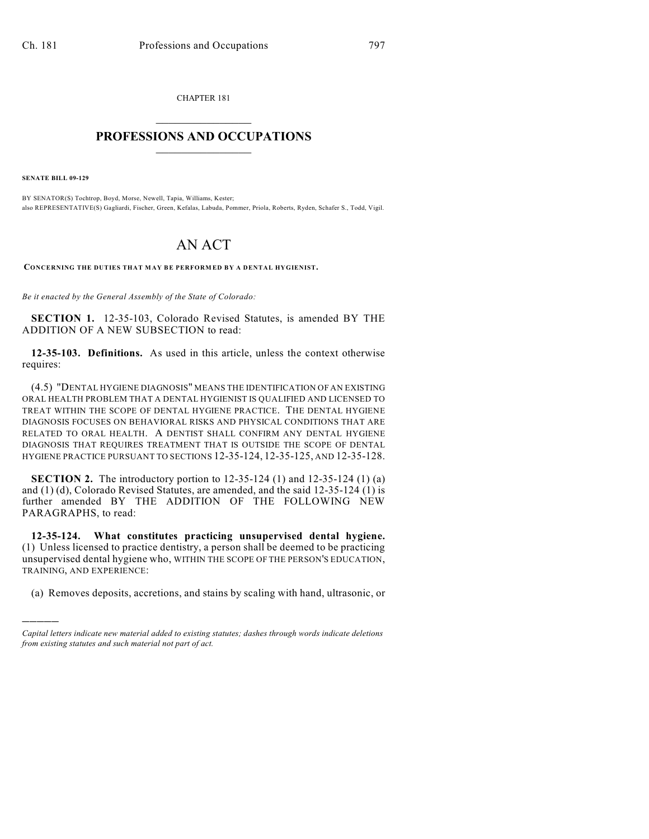CHAPTER 181  $\overline{\phantom{a}}$  . The set of the set of the set of the set of the set of the set of the set of the set of the set of the set of the set of the set of the set of the set of the set of the set of the set of the set of the set o

## **PROFESSIONS AND OCCUPATIONS**  $\frac{1}{2}$  ,  $\frac{1}{2}$  ,  $\frac{1}{2}$  ,  $\frac{1}{2}$  ,  $\frac{1}{2}$  ,  $\frac{1}{2}$

**SENATE BILL 09-129**

)))))

BY SENATOR(S) Tochtrop, Boyd, Morse, Newell, Tapia, Williams, Kester; also REPRESENTATIVE(S) Gagliardi, Fischer, Green, Kefalas, Labuda, Pommer, Priola, Roberts, Ryden, Schafer S., Todd, Vigil.

## AN ACT

**CONCERNING THE DUTIES THAT M AY BE PERFORM ED BY A DENTAL HYGIENIST.**

*Be it enacted by the General Assembly of the State of Colorado:*

**SECTION 1.** 12-35-103, Colorado Revised Statutes, is amended BY THE ADDITION OF A NEW SUBSECTION to read:

**12-35-103. Definitions.** As used in this article, unless the context otherwise requires:

(4.5) "DENTAL HYGIENE DIAGNOSIS" MEANS THE IDENTIFICATION OF AN EXISTING ORAL HEALTH PROBLEM THAT A DENTAL HYGIENIST IS QUALIFIED AND LICENSED TO TREAT WITHIN THE SCOPE OF DENTAL HYGIENE PRACTICE. THE DENTAL HYGIENE DIAGNOSIS FOCUSES ON BEHAVIORAL RISKS AND PHYSICAL CONDITIONS THAT ARE RELATED TO ORAL HEALTH. A DENTIST SHALL CONFIRM ANY DENTAL HYGIENE DIAGNOSIS THAT REQUIRES TREATMENT THAT IS OUTSIDE THE SCOPE OF DENTAL HYGIENE PRACTICE PURSUANT TO SECTIONS 12-35-124, 12-35-125, AND 12-35-128.

**SECTION 2.** The introductory portion to 12-35-124 (1) and 12-35-124 (1) (a) and (1) (d), Colorado Revised Statutes, are amended, and the said 12-35-124 (1) is further amended BY THE ADDITION OF THE FOLLOWING NEW PARAGRAPHS, to read:

**12-35-124. What constitutes practicing unsupervised dental hygiene.** (1) Unless licensed to practice dentistry, a person shall be deemed to be practicing unsupervised dental hygiene who, WITHIN THE SCOPE OF THE PERSON'S EDUCATION, TRAINING, AND EXPERIENCE:

(a) Removes deposits, accretions, and stains by scaling with hand, ultrasonic, or

*Capital letters indicate new material added to existing statutes; dashes through words indicate deletions from existing statutes and such material not part of act.*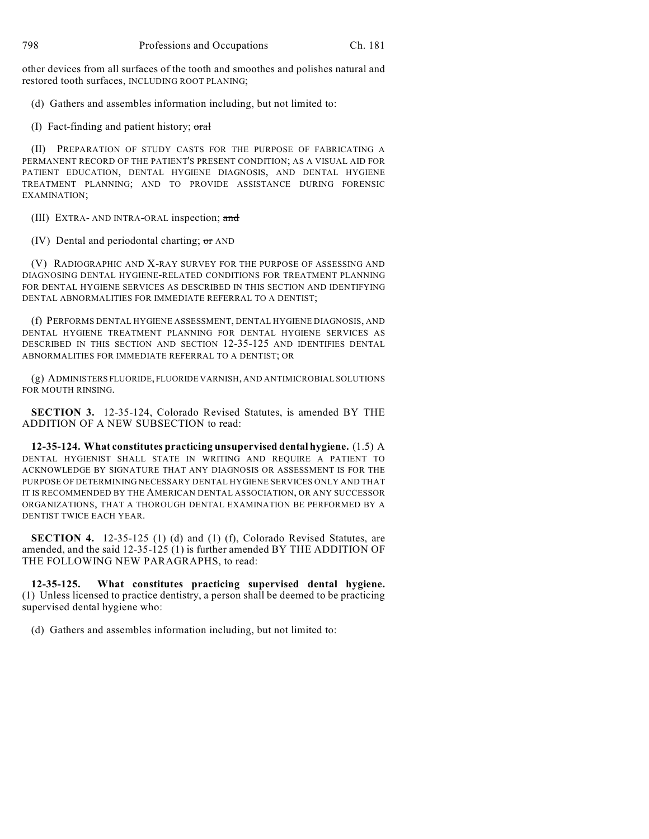other devices from all surfaces of the tooth and smoothes and polishes natural and restored tooth surfaces, INCLUDING ROOT PLANING;

(d) Gathers and assembles information including, but not limited to:

(I) Fact-finding and patient history;  $\sigma$ ral

(II) PREPARATION OF STUDY CASTS FOR THE PURPOSE OF FABRICATING A PERMANENT RECORD OF THE PATIENT'S PRESENT CONDITION; AS A VISUAL AID FOR PATIENT EDUCATION, DENTAL HYGIENE DIAGNOSIS, AND DENTAL HYGIENE TREATMENT PLANNING; AND TO PROVIDE ASSISTANCE DURING FORENSIC EXAMINATION;

(III) EXTRA- AND INTRA-ORAL inspection; and

(IV) Dental and periodontal charting; or AND

(V) RADIOGRAPHIC AND X-RAY SURVEY FOR THE PURPOSE OF ASSESSING AND DIAGNOSING DENTAL HYGIENE-RELATED CONDITIONS FOR TREATMENT PLANNING FOR DENTAL HYGIENE SERVICES AS DESCRIBED IN THIS SECTION AND IDENTIFYING DENTAL ABNORMALITIES FOR IMMEDIATE REFERRAL TO A DENTIST;

(f) PERFORMS DENTAL HYGIENE ASSESSMENT, DENTAL HYGIENE DIAGNOSIS, AND DENTAL HYGIENE TREATMENT PLANNING FOR DENTAL HYGIENE SERVICES AS DESCRIBED IN THIS SECTION AND SECTION 12-35-125 AND IDENTIFIES DENTAL ABNORMALITIES FOR IMMEDIATE REFERRAL TO A DENTIST; OR

(g) ADMINISTERS FLUORIDE, FLUORIDE VARNISH, AND ANTIMICROBIAL SOLUTIONS FOR MOUTH RINSING.

**SECTION 3.** 12-35-124, Colorado Revised Statutes, is amended BY THE ADDITION OF A NEW SUBSECTION to read:

**12-35-124. What constitutes practicing unsupervised dental hygiene.** (1.5) A DENTAL HYGIENIST SHALL STATE IN WRITING AND REQUIRE A PATIENT TO ACKNOWLEDGE BY SIGNATURE THAT ANY DIAGNOSIS OR ASSESSMENT IS FOR THE PURPOSE OF DETERMINING NECESSARY DENTAL HYGIENE SERVICES ONLY AND THAT IT IS RECOMMENDED BY THE AMERICAN DENTAL ASSOCIATION, OR ANY SUCCESSOR ORGANIZATIONS, THAT A THOROUGH DENTAL EXAMINATION BE PERFORMED BY A DENTIST TWICE EACH YEAR.

**SECTION 4.** 12-35-125 (1) (d) and (1) (f), Colorado Revised Statutes, are amended, and the said 12-35-125 (1) is further amended BY THE ADDITION OF THE FOLLOWING NEW PARAGRAPHS, to read:

**12-35-125. What constitutes practicing supervised dental hygiene.** (1) Unless licensed to practice dentistry, a person shall be deemed to be practicing supervised dental hygiene who:

(d) Gathers and assembles information including, but not limited to: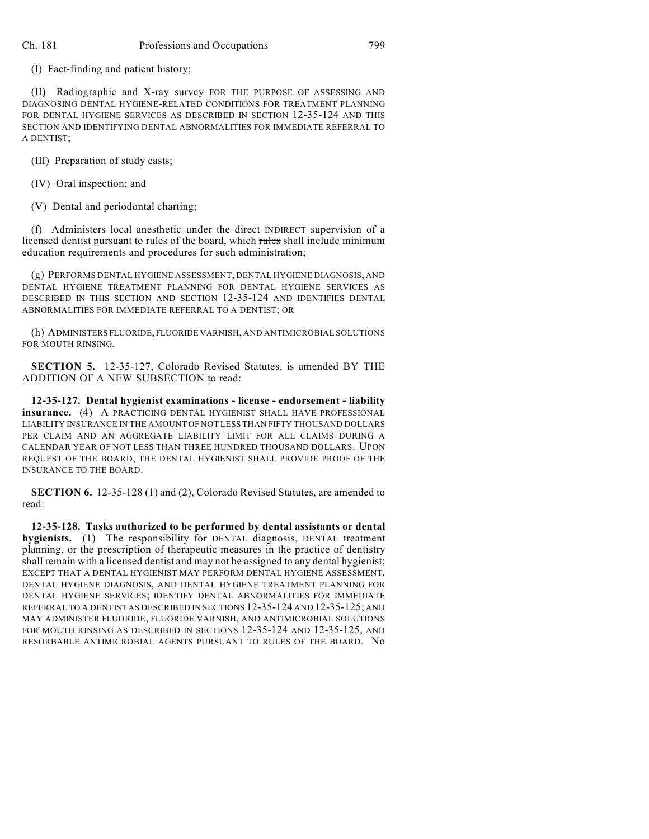(I) Fact-finding and patient history;

(II) Radiographic and X-ray survey FOR THE PURPOSE OF ASSESSING AND DIAGNOSING DENTAL HYGIENE-RELATED CONDITIONS FOR TREATMENT PLANNING FOR DENTAL HYGIENE SERVICES AS DESCRIBED IN SECTION 12-35-124 AND THIS SECTION AND IDENTIFYING DENTAL ABNORMALITIES FOR IMMEDIATE REFERRAL TO A DENTIST;

(III) Preparation of study casts;

(IV) Oral inspection; and

(V) Dental and periodontal charting;

(f) Administers local anesthetic under the direct INDIRECT supervision of a licensed dentist pursuant to rules of the board, which rules shall include minimum education requirements and procedures for such administration;

(g) PERFORMS DENTAL HYGIENE ASSESSMENT, DENTAL HYGIENE DIAGNOSIS, AND DENTAL HYGIENE TREATMENT PLANNING FOR DENTAL HYGIENE SERVICES AS DESCRIBED IN THIS SECTION AND SECTION 12-35-124 AND IDENTIFIES DENTAL ABNORMALITIES FOR IMMEDIATE REFERRAL TO A DENTIST; OR

(h) ADMINISTERS FLUORIDE, FLUORIDE VARNISH, AND ANTIMICROBIAL SOLUTIONS FOR MOUTH RINSING.

**SECTION 5.** 12-35-127, Colorado Revised Statutes, is amended BY THE ADDITION OF A NEW SUBSECTION to read:

**12-35-127. Dental hygienist examinations - license - endorsement - liability insurance.** (4) A PRACTICING DENTAL HYGIENIST SHALL HAVE PROFESSIONAL LIABILITY INSURANCE IN THE AMOUNT OF NOT LESS THAN FIFTY THOUSAND DOLLARS PER CLAIM AND AN AGGREGATE LIABILITY LIMIT FOR ALL CLAIMS DURING A CALENDAR YEAR OF NOT LESS THAN THREE HUNDRED THOUSAND DOLLARS. UPON REQUEST OF THE BOARD, THE DENTAL HYGIENIST SHALL PROVIDE PROOF OF THE INSURANCE TO THE BOARD.

**SECTION 6.** 12-35-128 (1) and (2), Colorado Revised Statutes, are amended to read:

**12-35-128. Tasks authorized to be performed by dental assistants or dental hygienists.** (1) The responsibility for DENTAL diagnosis, DENTAL treatment planning, or the prescription of therapeutic measures in the practice of dentistry shall remain with a licensed dentist and may not be assigned to any dental hygienist; EXCEPT THAT A DENTAL HYGIENIST MAY PERFORM DENTAL HYGIENE ASSESSMENT, DENTAL HYGIENE DIAGNOSIS, AND DENTAL HYGIENE TREATMENT PLANNING FOR DENTAL HYGIENE SERVICES; IDENTIFY DENTAL ABNORMALITIES FOR IMMEDIATE REFERRAL TO A DENTIST AS DESCRIBED IN SECTIONS 12-35-124 AND 12-35-125; AND MAY ADMINISTER FLUORIDE, FLUORIDE VARNISH, AND ANTIMICROBIAL SOLUTIONS FOR MOUTH RINSING AS DESCRIBED IN SECTIONS 12-35-124 AND 12-35-125, AND RESORBABLE ANTIMICROBIAL AGENTS PURSUANT TO RULES OF THE BOARD. No